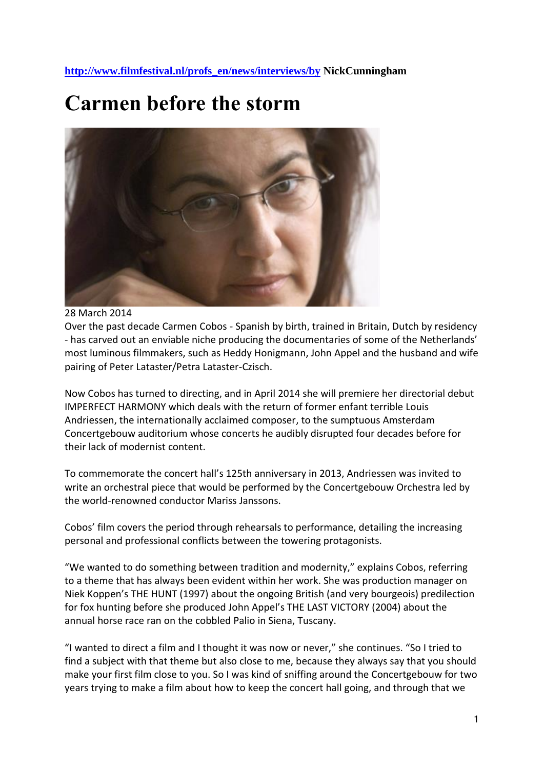**[http://www.filmfestival.nl/profs\\_en/news/interviews/by](http://www.filmfestival.nl/profs_en/news/interviews/by) NickCunningham**

## **Carmen before the storm**



## 28 March 2014

Over the past decade Carmen Cobos - Spanish by birth, trained in Britain, Dutch by residency - has carved out an enviable niche producing the documentaries of some of the Netherlands' most luminous filmmakers, such as Heddy Honigmann, John Appel and the husband and wife pairing of Peter Lataster/Petra Lataster-Czisch.

Now Cobos has turned to directing, and in April 2014 she will premiere her directorial debut IMPERFECT HARMONY which deals with the return of former enfant terrible Louis Andriessen, the internationally acclaimed composer, to the sumptuous Amsterdam Concertgebouw auditorium whose concerts he audibly disrupted four decades before for their lack of modernist content.

To commemorate the concert hall's 125th anniversary in 2013, Andriessen was invited to write an orchestral piece that would be performed by the Concertgebouw Orchestra led by the world-renowned conductor Mariss Janssons.

Cobos' film covers the period through rehearsals to performance, detailing the increasing personal and professional conflicts between the towering protagonists.

"We wanted to do something between tradition and modernity," explains Cobos, referring to a theme that has always been evident within her work. She was production manager on Niek Koppen's THE HUNT (1997) about the ongoing British (and very bourgeois) predilection for fox hunting before she produced John Appel's THE LAST VICTORY (2004) about the annual horse race ran on the cobbled Palio in Siena, Tuscany.

"I wanted to direct a film and I thought it was now or never," she continues. "So I tried to find a subject with that theme but also close to me, because they always say that you should make your first film close to you. So I was kind of sniffing around the Concertgebouw for two years trying to make a film about how to keep the concert hall going, and through that we